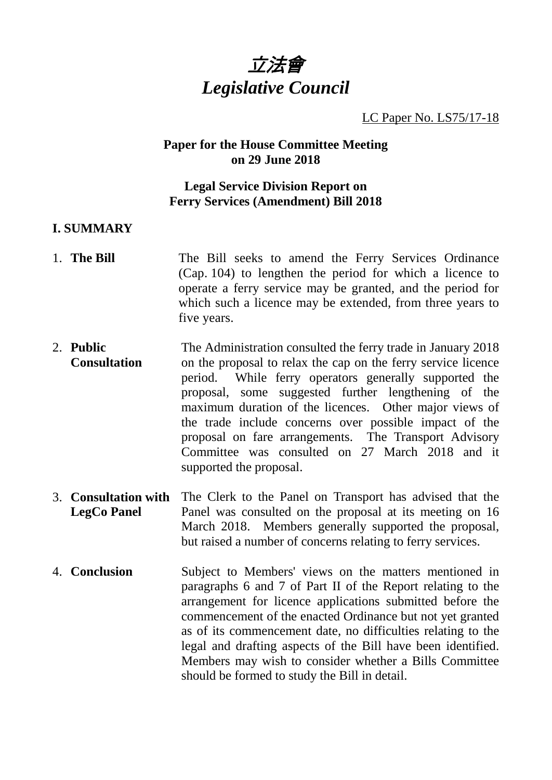

#### LC Paper No. LS75/17-18

### **Paper for the House Committee Meeting on 29 June 2018**

### **Legal Service Division Report on Ferry Services (Amendment) Bill 2018**

### **I. SUMMARY**

- 1. **The Bill** The Bill seeks to amend the Ferry Services Ordinance (Cap. 104) to lengthen the period for which a licence to operate a ferry service may be granted, and the period for which such a licence may be extended, from three years to five years.
- 2. **Public Consultation** The Administration consulted the ferry trade in January 2018 on the proposal to relax the cap on the ferry service licence period. While ferry operators generally supported the proposal, some suggested further lengthening of the maximum duration of the licences. Other major views of the trade include concerns over possible impact of the proposal on fare arrangements. The Transport Advisory Committee was consulted on 27 March 2018 and it supported the proposal.
- 3. **Consultation with LegCo Panel** The Clerk to the Panel on Transport has advised that the Panel was consulted on the proposal at its meeting on 16 March 2018. Members generally supported the proposal, but raised a number of concerns relating to ferry services.
- 4. **Conclusion** Subject to Members' views on the matters mentioned in paragraphs 6 and 7 of Part II of the Report relating to the arrangement for licence applications submitted before the commencement of the enacted Ordinance but not yet granted as of its commencement date, no difficulties relating to the legal and drafting aspects of the Bill have been identified. Members may wish to consider whether a Bills Committee should be formed to study the Bill in detail.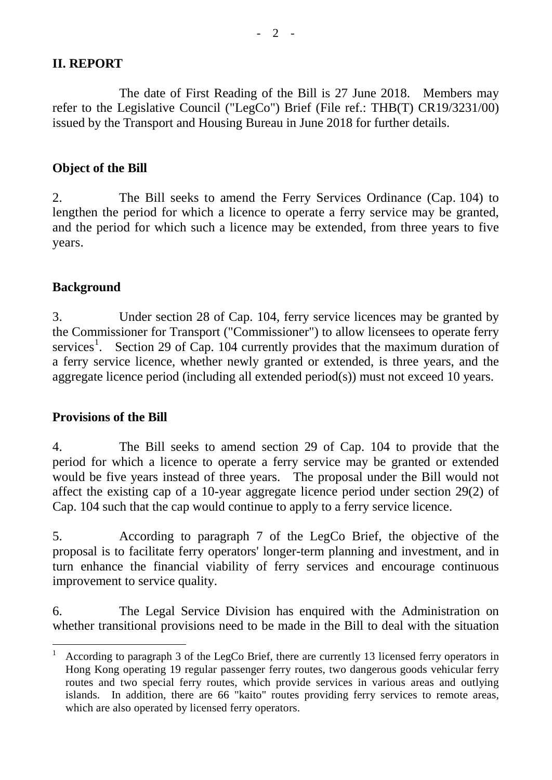## **II. REPORT**

The date of First Reading of the Bill is 27 June 2018. Members may refer to the Legislative Council ("LegCo") Brief (File ref.: THB(T) CR19/3231/00) issued by the Transport and Housing Bureau in June 2018 for further details.

# **Object of the Bill**

2. The Bill seeks to amend the Ferry Services Ordinance (Cap. 104) to lengthen the period for which a licence to operate a ferry service may be granted, and the period for which such a licence may be extended, from three years to five years.

# **Background**

3. Under section 28 of Cap. 104, ferry service licences may be granted by the Commissioner for Transport ("Commissioner") to allow licensees to operate ferry services<sup>[1](#page-1-0)</sup>. Section 29 of Cap. 104 currently provides that the maximum duration of a ferry service licence, whether newly granted or extended, is three years, and the aggregate licence period (including all extended period(s)) must not exceed 10 years.

## **Provisions of the Bill**

4. The Bill seeks to amend section 29 of Cap. 104 to provide that the period for which a licence to operate a ferry service may be granted or extended would be five years instead of three years. The proposal under the Bill would not affect the existing cap of a 10-year aggregate licence period under section 29(2) of Cap. 104 such that the cap would continue to apply to a ferry service licence.

5. According to paragraph 7 of the LegCo Brief, the objective of the proposal is to facilitate ferry operators' longer-term planning and investment, and in turn enhance the financial viability of ferry services and encourage continuous improvement to service quality.

6. The Legal Service Division has enquired with the Administration on whether transitional provisions need to be made in the Bill to deal with the situation

<span id="page-1-0"></span> <sup>1</sup> According to paragraph 3 of the LegCo Brief, there are currently 13 licensed ferry operators in Hong Kong operating 19 regular passenger ferry routes, two dangerous goods vehicular ferry routes and two special ferry routes, which provide services in various areas and outlying islands. In addition, there are 66 "kaito" routes providing ferry services to remote areas, which are also operated by licensed ferry operators.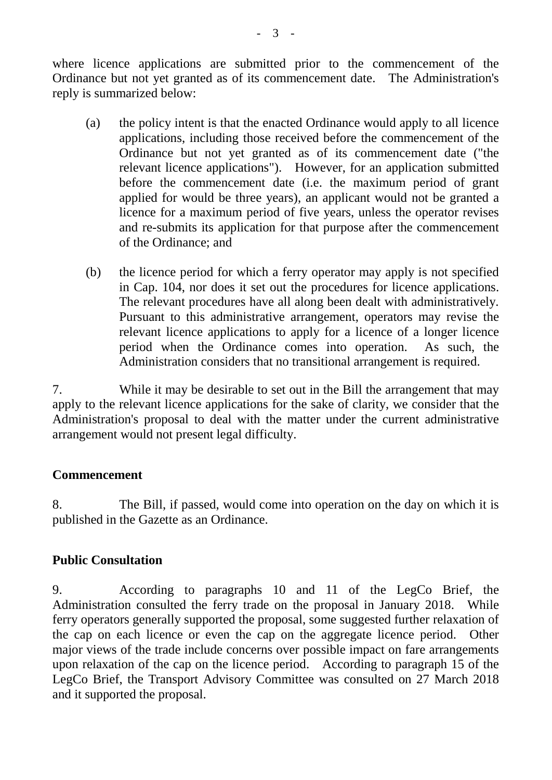where licence applications are submitted prior to the commencement of the Ordinance but not yet granted as of its commencement date. The Administration's reply is summarized below:

- (a) the policy intent is that the enacted Ordinance would apply to all licence applications, including those received before the commencement of the Ordinance but not yet granted as of its commencement date ("the relevant licence applications"). However, for an application submitted before the commencement date (i.e. the maximum period of grant applied for would be three years), an applicant would not be granted a licence for a maximum period of five years, unless the operator revises and re-submits its application for that purpose after the commencement of the Ordinance; and
- (b) the licence period for which a ferry operator may apply is not specified in Cap. 104, nor does it set out the procedures for licence applications. The relevant procedures have all along been dealt with administratively. Pursuant to this administrative arrangement, operators may revise the relevant licence applications to apply for a licence of a longer licence period when the Ordinance comes into operation. As such, the Administration considers that no transitional arrangement is required.

7. While it may be desirable to set out in the Bill the arrangement that may apply to the relevant licence applications for the sake of clarity, we consider that the Administration's proposal to deal with the matter under the current administrative arrangement would not present legal difficulty.

## **Commencement**

8. The Bill, if passed, would come into operation on the day on which it is published in the Gazette as an Ordinance.

## **Public Consultation**

9. According to paragraphs 10 and 11 of the LegCo Brief, the Administration consulted the ferry trade on the proposal in January 2018. While ferry operators generally supported the proposal, some suggested further relaxation of the cap on each licence or even the cap on the aggregate licence period. Other major views of the trade include concerns over possible impact on fare arrangements upon relaxation of the cap on the licence period. According to paragraph 15 of the LegCo Brief, the Transport Advisory Committee was consulted on 27 March 2018 and it supported the proposal.